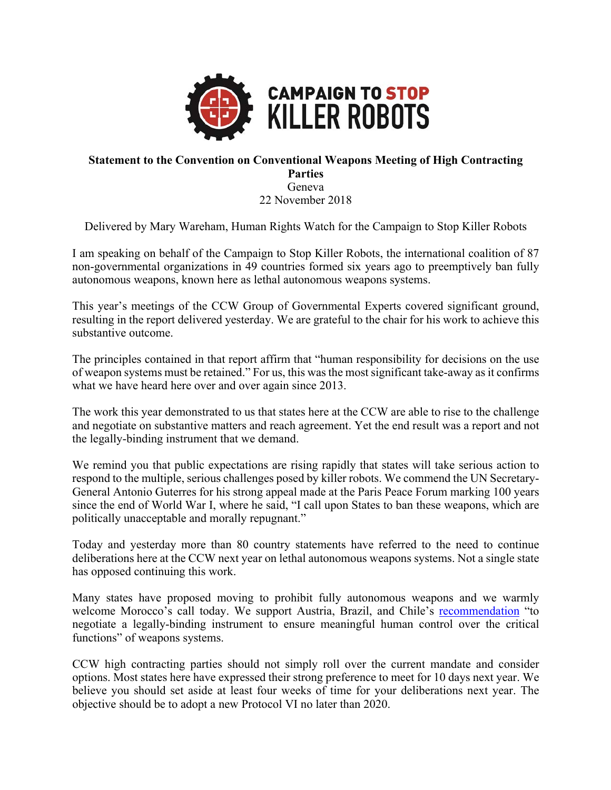

## **Statement to the Convention on Conventional Weapons Meeting of High Contracting Parties** Geneva

22 November 2018

Delivered by Mary Wareham, Human Rights Watch for the Campaign to Stop Killer Robots

I am speaking on behalf of the Campaign to Stop Killer Robots, the international coalition of 87 non-governmental organizations in 49 countries formed six years ago to preemptively ban fully autonomous weapons, known here as lethal autonomous weapons systems.

This year's meetings of the CCW Group of Governmental Experts covered significant ground, resulting in the report delivered yesterday. We are grateful to the chair for his work to achieve this substantive outcome.

The principles contained in that report affirm that "human responsibility for decisions on the use of weapon systems must be retained." For us, this was the most significant take-away as it confirms what we have heard here over and over again since 2013.

The work this year demonstrated to us that states here at the CCW are able to rise to the challenge and negotiate on substantive matters and reach agreement. Yet the end result was a report and not the legally-binding instrument that we demand.

We remind you that public expectations are rising rapidly that states will take serious action to respond to the multiple, serious challenges posed by killer robots. We commend the UN Secretary-General Antonio Guterres for his strong appeal made at the Paris Peace Forum marking 100 years since the end of World War I, where he said, "I call upon States to ban these weapons, which are politically unacceptable and morally repugnant."

Today and yesterday more than 80 country statements have referred to the need to continue deliberations here at the CCW next year on lethal autonomous weapons systems. Not a single state has opposed continuing this work.

Many states have proposed moving to prohibit fully autonomous weapons and we warmly welcome Morocco's call today. We support Austria, Brazil, and Chile's recommendation "to negotiate a legally-binding instrument to ensure meaningful human control over the critical functions" of weapons systems.

CCW high contracting parties should not simply roll over the current mandate and consider options. Most states here have expressed their strong preference to meet for 10 days next year. We believe you should set aside at least four weeks of time for your deliberations next year. The objective should be to adopt a new Protocol VI no later than 2020.